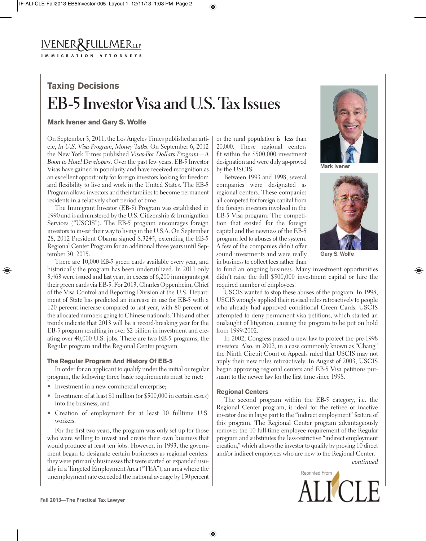# **Taxing Decisions**

# **EB-5 Investor Visa and U.S. Tax Issues**

#### **Mark Ivener and Gary S. Wolfe**

On September 3, 2011, the Los Angeles Times published an article, *In U.S. Visa Program, Money Talks*. On September 6, 2012 the New York Times published *Visas-For Dollars Program—A Boon to Hotel Developers*. Over the past few years, EB-5 Investor Visas have gained in popularity and have received recognition as an excellent opportunity for foreign investors looking for freedom and flexibility to live and work in the United States. The EB-5 Program allows investors and their families to become permanent residents in a relatively short period of time.

The Immigrant Investor (EB-5) Program was established in 1990 and is administered by the U.S. Citizenship & Immigration Services ("USCIS"). The EB-5 program encourages foreign investors to invest their way to living in the U.S.A. On September 28, 2012 President Obama signed S.3245, extending the EB-5 Regional Center Program for an additional three years until September 30, 2015.

There are 10,000 EB-5 green cards available every year, and historically the program has been underutilized. In 2011 only 3,463 were issued and last year, in excess of 6,200 immigrants got their green cards via EB-5. For 2013, Charles Oppenheim, Chief of the Visa Control and Reporting Division at the U.S. Department of State has predicted an increase in use for EB-5 with a 120 percent increase compared to last year, with 80 percent of the allocated numbers going to Chinese nationals. This and other trends indicate that 2013 will be a record-breaking year for the EB-5 program resulting in over \$2 billion in investment and creating over 40,000 U.S. jobs. There are two EB-5 programs, the Regular program and the Regional Center program

#### **The Regular Program And History Of EB-5**

In order for an applicant to qualify under the initial or regular program, the following three basic requirements must be met:

- Investment in a new commercial enterprise;
- Investment of at least \$1 million (or \$500,000 in certain cases) into the business; and
- Creation of employment for at least 10 fulltime U.S. workers.

For the first two years, the program was only set up for those who were willing to invest and create their own business that would produce at least ten jobs. However, in 1993, the government began to designate certain businesses as regional centers: they were primarily businesses that were started or expanded usually in a Targeted Employment Area ("TEA"), an area where the unemployment rate exceeded the national average by 150 percent or the rural population is less than 20,000. These regional centers fit within the \$500,000 investment designation and were duly ap-proved by the USCIS.

Between 1993 and 1998, several companies were designated as regional centers. These companies all competed for foreign capital from the foreign investors involved in the EB-5 Visa program. The competition that existed for the foreign capital and the newness of the EB-5 program led to abuses of the system. A few of the companies didn't offer sound investments and were really in business to collect fees rather than



**Mark Ivener**



**Gary S. Wolfe**

to fund an ongoing business. Many investment opportunities didn't raise the full \$500,000 investment capital or hire the required number of employees.

USCIS wanted to stop these abuses of the program. In 1998, USCIS wrongly applied their revised rules retroactively to people who already had approved conditional Green Cards. USCIS attempted to deny permanent visa petitions, which started an onslaught of litigation, causing the program to be put on hold from 1999-2002.

In 2002, Congress passed a new law to protect the pre-1998 investors. Also, in 2002, in a case commonly known as "Chang" the Ninth Circuit Court of Appeals ruled that USCIS may not apply their new rules retroactively. In August of 2003, USCIS began approving regional centers and EB-5 Visa petitions pursuant to the newer law for the first time since 1998.

#### **Regional Centers**

The second program within the EB-5 category, i.e. the Regional Center program, is ideal for the retiree or inactive investor due in large part to the "indirect employment" feature of this program. The Regional Center program advantageously removes the 10 full-time employee requirement of the Regular program and substitutes the less-restrictive "indirect employment creation," which allows the investor to qualify by proving 10 direct and/or indirect employees who are new to the Regional Center.

*continued* 

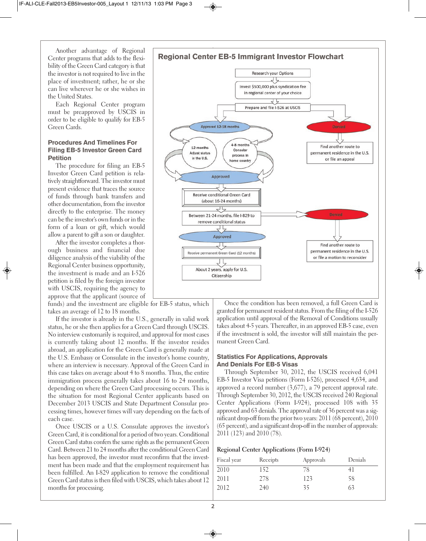Another advantage of Regional Center programs that adds to the flexibility of the Green Card category is that the investor is not required to live in the place of investment; rather, he or she can live wherever he or she wishes in the United States.

Each Regional Center program must be preapproved by USCIS in order to be eligible to qualify for EB-5 Green Cards.

#### **Procedures And Timelines For Filing EB-5 Investor Green Card Petition**

The procedure for filing an EB-5 Investor Green Card petition is relatively straightforward. The investor must present evidence that traces the source of funds through bank transfers and other documentation, from the investor directly to the enterprise. The money can be the investor's own funds or in the form of a loan or gift, which would allow a parent to gift a son or daughter.

After the investor completes a thorough business and financial due diligence analysis of the viability of the Regional Center business opportunity, the investment is made and an I-526 petition is filed by the foreign investor with USCIS, requiring the agency to approve that the applicant (source of

funds) and the investment are eligible for EB-5 status, which takes an average of 12 to 18 months.

If the investor is already in the U.S., generally in valid work status, he or she then applies for a Green Card through USCIS. No interview customarily is required, and approval for most cases is currently taking about 12 months. If the investor resides abroad, an application for the Green Card is generally made at the U.S. Embassy or Consulate in the investor's home country, where an interview is necessary. Approval of the Green Card in this case takes on average about 4 to 8 months. Thus, the entire immigration process generally takes about 16 to 24 months, depending on where the Green Card processing occurs. This is the situation for most Regional Center applicants based on December 2013 USCIS and State Department Consular processing times, however times will vary depending on the facts of each case.

Once USCIS or a U.S. Consulate approves the investor's Green Card, it is conditional for a period of two years. Conditional Green Card status confers the same rights as the permanent Green Card. Between 21 to 24 months after the conditional Green Card has been approved, the investor must reconfirm that the investment has been made and that the employment requirement has been fulfilled. An I-829 application to remove the conditional Green Card status is then filed with USCIS, which takes about 12 months for processing.



Once the condition has been removed, a full Green Card is granted for permanent resident status. From the filing of the I-526 application until approval of the Removal of Conditions usually takes about 4-5 years. Thereafter, in an approved EB-5 case, even if the investment is sold, the investor will still maintain the permanent Green Card.

#### **Statistics For Applications, Approvals And Denials For EB-5 Visas**

Through September 30, 2012, the USCIS received 6,041 EB-5 Investor Visa petitions (Form I-526), processed 4,634, and approved a record number (3,677), a 79 percent approval rate. Through September 30, 2012, the USCIS received 240 Regional Center Applications (Form I-924), processed 108 with 35 approved and 63 denials. The approval rate of 36 percent was a significant drop-off from the prior two years: 2011 (68 percent), 2010 (65 percent), and a significant drop-off in the number of approvals: 2011 (123) and 2010 (78).

#### **Regional Center Applications (Form I-924)**

| Fiscal year | Receipts | Approvals | Denials |
|-------------|----------|-----------|---------|
| 2010        | 152      | 78        | 41      |
| 2011        | 278      | 123       | 58      |
| 2012        | 240      | 35        | 63      |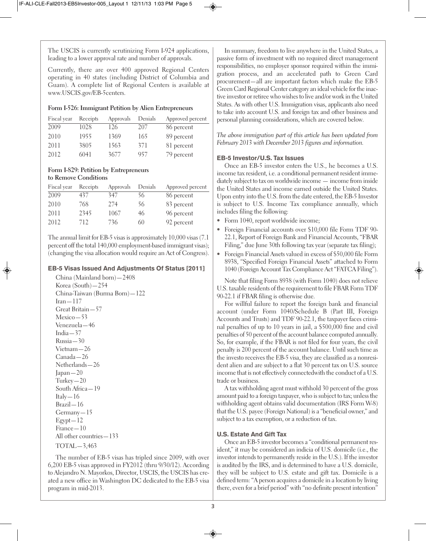The USCIS is currently scrutinizing Form I-924 applications, leading to a lower approval rate and number of approvals.

Currently, there are over 400 approved Regional Centers operating in 40 states (including District of Columbia and Guam). A complete list of Regional Centers is available at www.USCIS.gov/EB-5centers.

#### **Form I-526: Immigrant Petition by Alien Entrepreneurs**

| Fiscal year | Receipts | Approvals | Denials | Approved percent |
|-------------|----------|-----------|---------|------------------|
| 2009        | 1028     | 126       | 207     | 86 percent       |
| 2010        | 1955     | 1369      | 165     | 89 percent       |
| 2011        | 3805     | 1563      | 371     | 81 percent       |
| 2012        | 6041     | 3677      | 957     | 79 percent       |

#### **Form I-829: Petition by Entrepreneurs to Remove Conditions**

| Fiscal year | Receipts | Approvals | Denials | Approved percent |
|-------------|----------|-----------|---------|------------------|
| 2009        | 437      | 347       | 56      | 86 percent       |
| 2010        | 768      | 2.74      | 56      | 83 percent       |
| 2011        | 2345     | 1067      | 46      | 96 percent       |
| 2012        | 712      | 736       | 60      | 92 percent       |

The annual limit for EB-5 visas is approximately 10,000 visas (7.1 percent off the total 140,000 employment-based immigrant visas); (changing the visa allocation would require an Act of Congress).

#### **EB-5 Visas Issued And Adjustments Of Status [2011]**

China (Mainland born)—2408 Korea (South)—254 China-Taiwan (Burma Born)—122 Iran—117 Great Britain—57 Mexico—53 Venezuela—46 India—37 Russia—30 Vietnam—26 Canada—26 Netherlands—26 Japan—20 Turkey—20 South Africa—19 Italy—16 Brazil—16 Germany—15 Egypt—12 France—10 All other countries—133 TOTAL—3,463

The number of EB-5 visas has tripled since 2009, with over 6,200 EB-5 visas approved in FY2012 (thru 9/30/12). According to Alejandro N. Mayorkos, Director, USCIS, the USCIS has created a new office in Washington DC dedicated to the EB-5 visa program in mid-2013.

In summary, freedom to live anywhere in the United States, a passive form of investment with no required direct management responsibilities, no employer sponsor required within the immigration process, and an accelerated path to Green Card procurement—all are important factors which make the EB-5 Green Card Regional Center category an ideal vehicle for the inactive investor or retiree who wishes to live and/or work in the United States. As with other U.S. Immigration visas, applicants also need to take into account U.S. and foreign tax and other business and personal planning considerations, which are covered below.

*The above immigration part of this article has been updated from February 2013 with December 2013 figures and information.*

#### **EB-5 Investor/U.S. Tax Issues**

Once an EB-5 investor enters the U.S., he becomes a U.S. income tax resident, i.e. a conditional permanent resident immediately subject to tax on worldwide income — income from inside the United States and income earned outside the United States. Upon entry into the U.S. from the date entered, the EB-5 Investor is subject to U.S. Income Tax compliance annually, which includes filing the following:

- Form 1040, report worldwide income;
- Foreign Financial accounts over \$10,000 file Form TDF 90- 22.1, Report of Foreign Bank and Financial Accounts, "FBAR Filing," due June 30th following tax year (separate tax filing);
- Foreign Financial Assets valued in excess of \$50,000 file Form 8938, "Specified Foreign Financial Assets" attached to Form 1040 (Foreign Account Tax Compliance Act "FATCA Filing").

Note that filing Form 8938 (with Form 1040) does not relieve U.S. taxable residents of the requirement to file FBAR Form TDF 90-22.1 if FBAR filing is otherwise due.

For willful failure to report the foreign bank and financial account (under Form 1040/Schedule B (Part III, Foreign Accounts and Trusts) and TDF 90-22.1, the taxpayer faces criminal penalties of up to 10 years in jail, a \$500,000 fine and civil penalties of 50 percent of the account balance computed annually. So, for example, if the FBAR is not filed for four years, the civil penalty is 200 percent of the account balance. Until such time as the investo receives the EB-5 visa, they are classified as a nonresident alien and are subject to a flat 30 percent tax on U.S. source income that is not effectively connectedwith the conduct of a U.S. trade or business.

A tax withholding agent must withhold 30 percent of the gross amount paid to a foreign taxpayer, who is subject to tax; unless the withholding agent obtains valid documentation (IRS Form W-8) that the U.S. payee (Foreign National) is a "beneficial owner," and subject to a tax exemption, or a reduction of tax.

#### **U.S. Estate And Gift Tax**

Once an EB-5 investor becomes a "conditional permanent resident," it may be considered an indicia of U.S. domicile (i.e., the investor intends to permanently reside in the U.S.). If the investor is audited by the IRS, and is determined to have a U.S. domicile, they will be subject to U.S. estate and gift tax. Domicile is a defined term: "A person acquires a domicile in a location by living there, even for a brief period" with "no definite present intention"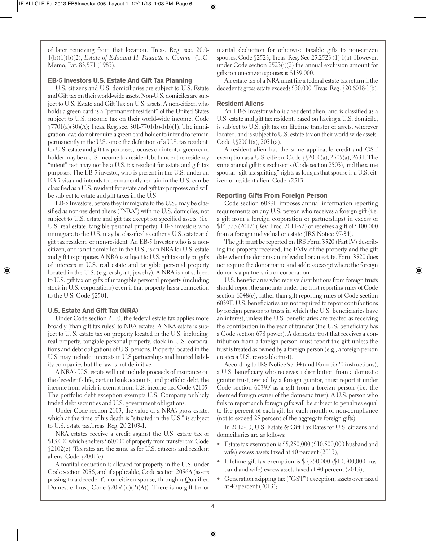of later removing from that location. Treas. Reg. sec. 20.0- 1(b)(1)(b)(2), *Estate of Edouard H. Paquette v. Commr*. (T.C. Memo, Par. 83,571 (1983).

#### **EB-5 Investors U.S. Estate And Gift Tax Planning**

U.S. citizens and U.S. domiciliaries are subject to U.S. Estate and Gift tax on their world-wide assets. Non-U.S. domiciles are subject to U.S. Estate and Gift Tax on U.S. assets. A non-citizen who holds a green card is a "permanent resident" of the United States subject to U.S. income tax on their world-wide income. Code  $\sqrt{7701(a)(30)}$ (A); Treas. Reg. sec. 301-7701(b)-1(b)(1). The immigration laws do not require a green card holder to intend to remain permanently in the U.S. since the definition of a U.S. tax resident, for U.S. estate and gift tax purposes, focuses on intent, a green card holder may be a U.S. income tax resident, but under the residency "intent" test, may not be a U.S. tax resident for estate and gift tax purposes. The EB-5 investor, who is present in the U.S. under an EB-5 visa and intends to permanently remain in the U.S. can be classified as a U.S. resident for estate and gift tax purposes and will be subject to estate and gift taxes in the U.S.

EB-5 Investors, before they immigrate to the U.S., may be classified as non-resident aliens ("NRA") with no U.S. domiciles, not subject to U.S. estate and gift tax except for specified assets: (i.e. U.S. real estate, tangible personal property). EB-5 investors who immigrate to the U.S. may be classified as either a U.S. estate and gift tax resident, or non-resident. An EB-5 Investor who is a noncitizen, and is not domiciled in the U.S., is an NRA for U.S. estate and gift tax purposes. A NRA is subject to U.S. gift tax only on gifts of interests in U.S. real estate and tangible personal property located in the U.S. (e.g. cash, art, jewelry). A NRA is not subject to U.S. gift tax on gifts of intangible personal property (including stock in U.S. corporations) even if that property has a connection to the U.S. Code §2501.

#### **U.S. Estate And Gift Tax (NRA)**

Under Code section 2103, the federal estate tax applies more broadly (than gift tax rules) to NRA estates. A NRA estate is subject to U. S. estate tax on property located in the U.S. including: real property, tangible personal property, stock in U.S. corporations and debt obligations of U.S. persons. Property located in the U.S. may include: interests in U.S partnerships and limited liability companies but the law is not definitive.

A NRA's U.S. estate will not include proceeds of insurance on the decedent's life, certain bank accounts, and portfolio debt, the income from which is exempt from U.S. income tax. Code §2105. The portfolio debt exception exempts U.S. Company publicly traded debt securities and U.S. government obligations.

Under Code section 2103, the value of a NRA's gross estate, which at the time of his death is "situated in the U.S." is subject to U.S. estate tax.Treas. Reg. 20.2103-1.

NRA estates receive a credit against the U.S. estate tax of \$13,000 which shelters \$60,000 of property from transfer tax. Code §2102(c). Tax rates are the same as for U.S. citizens and resident aliens. Code §2001(c).

A marital deduction is allowed for property in the U.S. under Code section 2056, and if applicable, Code section 2056A (assets passing to a decedent's non-citizen spouse, through a Qualified Domestic Trust, Code  $$2056(d)(2)(A)$ . There is no gift tax or marital deduction for otherwise taxable gifts to non-citizen spouses. Code §2523, Treas. Reg. Sec 25.2523 (1)-1(a). However, under Code section 2523(i)(2) the annual exclusion amount for gifts to non-citizen spouses is \$139,000.

An estate tax of a NRA must file a federal estate tax return if the decedent's gross estate exceeds \$30,000. Treas. Reg. §20.6018-1(b).

#### **Resident Aliens**

An EB-5 Investor who is a resident alien, and is classified as a U.S. estate and gift tax resident, based on having a U.S. domicile, is subject to U.S. gift tax on lifetime transfer of assets, wherever located, and is subject to U.S. estate tax on their world-wide assets. Code §§2001(a), 2031(a).

A resident alien has the same applicable credit and GST exemption as a U.S. citizen. Code §§2010(a), 2505(a), 2631. The same annual gift tax exclusions (Code section 2503), and the same spousal "gift-tax splitting" rights as long as that spouse is a U.S. citizen or resident alien. Code §2513.

#### **Reporting Gifts From Foreign Person**

Code section 6039F imposes annual information reporting requirements on any U.S. person who receives a foreign gift (i.e. a gift from a foreign corporation or partnerships) in excess of \$14,723 (2012) (Rev. Proc. 2011-52) or receives a gift of \$100,000 from a foreign individual or estate (IRS Notice 97-34).

The gift must be reported on IRS Form 3520 (Part IV) describing the property received, the FMV of the property and the gift date when the donor is an individual or an estate. Form 3520 does not require the donor name and address except where the foreign donor is a partnership or corporation.

U.S. beneficiaries who receive distributions from foreign trusts should report the amounts under the trust reporting rules of Code section 6048(c), rather than gift reporting rules of Code section 6039F. U.S. beneficiaries are not required to report contributions by foreign persons to trusts in which the U.S. beneficiaries have an interest, unless the U.S. beneficiaries are treated as receiving the contribution in the year of transfer (the U.S. beneficiary has a Code section 678 power). A domestic trust that receives a contribution from a foreign person must report the gift unless the trust is treated as owned by a foreign person (e.g., a foreign person creates a U.S. revocable trust).

According to IRS Notice 97-34 (and Form 3520 instructions), a U.S. beneficiary who receives a distribution from a domestic grantor trust, owned by a foreign grantor, must report it under Code section 6039F as a gift from a foreign person (i.e. the deemed foreign owner of the domestic trust). A U.S. person who fails to report such foreign gifts will be subject to penalties equal to five percent of each gift for each month of non-compliance (not to exceed 25 percent of the aggregate foreign gifts).

In 2012-13, U.S. Estate & Gift Tax Rates for U.S. citizens and domiciliaries are as follows:

- Estate tax exemption is \$5,250,000 (\$10,500,000 husband and wife) excess assets taxed at 40 percent (2013);
- Lifetime gift tax exemption is \$5,250,000 (\$10,500,000 husband and wife) excess assets taxed at 40 percent (2013);
- Generation skipping tax ("GST") exception, assets over taxed at 40 percent (2013);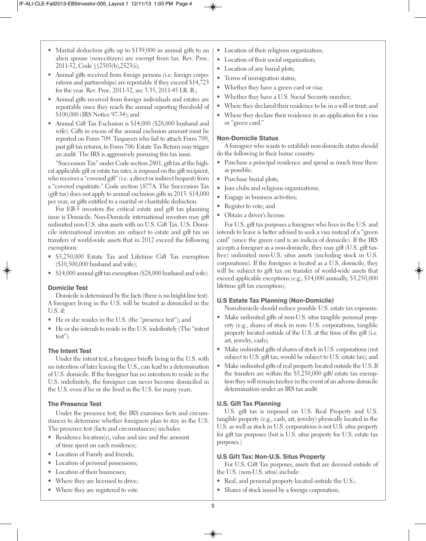- Marital deduction gifts up to \$139,000 in annual gifts to an alien spouse (non-citizen) are exempt from tax. Rev. Proc. 2011-52, Code §§2503(b),2523(i);
- Annual gifts received from foreign persons (i.e. foreign corporations and partnerships) are reportable if they exceed \$14,723 for the year. Rev. Proc. 2011-52, sec 3.35, 2011-45 I.R. B.;
- Annual gifts received from foreign individuals and estates are reportable once they reach the annual reporting threshold of \$100,000 (IRS Notice 97-34); and
- Annual Gift Tax Exclusion is \$14,000 (\$28,000 husband and wife). Gifts in excess of the annual exclusion amount must be reported on Form 709. Taxpayers who fail to attach Form 709, past gift tax returns, to Form 706: Estate Tax Return may trigger an audit. The IRS is aggressively pursuing this tax issue.

"Succession Tax" under Code section 2801, gift tax at the highest applicable gift or estate tax rates, is imposed on the gift recipient, who receives a "covered gift" (i.e. a direct or indirect bequest) from a "covered expatriate." Code section §877A. The Succession Tax (gift tax) does not apply to annual exclusion gifts in 2013: \$14,000 per year, or gifts entitled to a marital or charitable deduction.

For EB-5 investors the critical estate and gift tax planning issue is Domicile. Non-Domicile international investors may gift unlimited non-U.S. situs assets with no U.S. Gift Tax. U.S. Domicile international investors are subject to estate and gift tax on transfers of world-wide assets that in 2012 exceed the following exemptions:

- \$5,250,000 Estate Tax and Lifetime Gift Tax exemption (\$10,500,000 husband and wife);
- \$14,000 annual gift tax exemption (\$28,000 husband and wife).

#### **Domicile Test**

Domicile is determined by the facts (there is no bright-line test). A foreigner living in the U.S. will be treated as domiciled in the U.S. if:

- He or she resides in the U.S. (the "presence test"); and
- He or she intends to reside in the U.S. indefinitely (The "intent test").

#### **The Intent Test**

Under the intent test, a foreigner briefly living in the U.S. with no intention of later leaving the U.S., can lead to a determination of U.S. domicile. If the foreigner has no intention to reside in the U.S. indefinitely, the foreigner can never become domiciled in the U.S. even if he or she lived in the U.S. for many years.

#### **The Presence Test**

Under the presence test, the IRS examines facts and circumstances to determine whether foreigners plan to stay in the U.S. The presence test (facts and circumstances) includes:

- Residence location(s), value and size and the amount of time spent on each residence;
- Location of Family and friends;
- Location of personal possessions;
- Location of their businesses:
- Where they are licensed to drive;
- Where they are registered to vote
- Location of their religious organization;
- Location of their social organization;
- Location of any burial plots;
- Terms of immigration status;
- Whether they have a green card or visa;
- Whether they have a U.S. Social Security number;
- Where they declared their residence to be in a will or trust; and
- Where they declare their residence in an application for a visa or "green card."

#### **Non-Domicile Status**

A foreigner who wants to establish non-domicile status should do the following in their home country:

- Purchase a principal residence and spend as much time there as possible;
- Purchase burial plots;
- Join clubs and religious organizations;
- Engage in business activities;
- Register to vote; and
- Obtain a driver's license.

For U.S. gift tax purposes a foreigner who lives in the U.S. and intends to leave is better advised to seek a visa instead of a "green card" (since the green card is an indicia of domicile). If the IRS accepts a foreigner as a non-domicile, they may gift (U.S. gift taxfree) unlimited non-U.S. situs assets (including stock in U.S. corporations). If the foreigner is treated as a U.S. domicile, they will be subject to gift tax on transfer of world-wide assets that exceed applicable exceptions (e.g., \$14,000 annually, \$5,250,000 lifetime gift tax exemption).

## **U.S Estate Tax Planning (Non-Domicile)**

Non-domicile should reduce possible U.S. estate tax exposure:

- Make unlimited gifts of non-U.S. situs tangible personal property (e.g., shares of stock in non- U.S. corporations, tangible property located outside of the U.S. at the time of the gift (i.e. art, jewelry, cash);
- Make unlimited gifts of shares of stock in U.S. corporations (not subject to U.S. gift tax, would be subject to U.S. estate tax); and
- Make unlimited gifts of real property located outside the U.S. If the transfers are within the \$5,250,000 gift/ estate tax exemption they will remain tax-free in the event of an adverse domicile determination under an IRS tax audit.

# **U.S. Gift Tax Planning**

U.S. gift tax is imposed on U.S. Real Property and U.S. tangible property (e.g., cash, art, jewelry) physically located in the U.S. as well as stock in U.S. corporations is not U.S. situs property for gift tax purposes (but is U.S. situs property for U.S. estate tax purposes.)

## **U.S Gift Tax: Non-U.S. Situs Property**

For U.S. Gift Tax purposes, assets that are deemed outside of the U.S. (non-U.S. situs) include:

- Real, and personal property located outside the U.S.;
- Shares of stock issued by a foreign corporation;